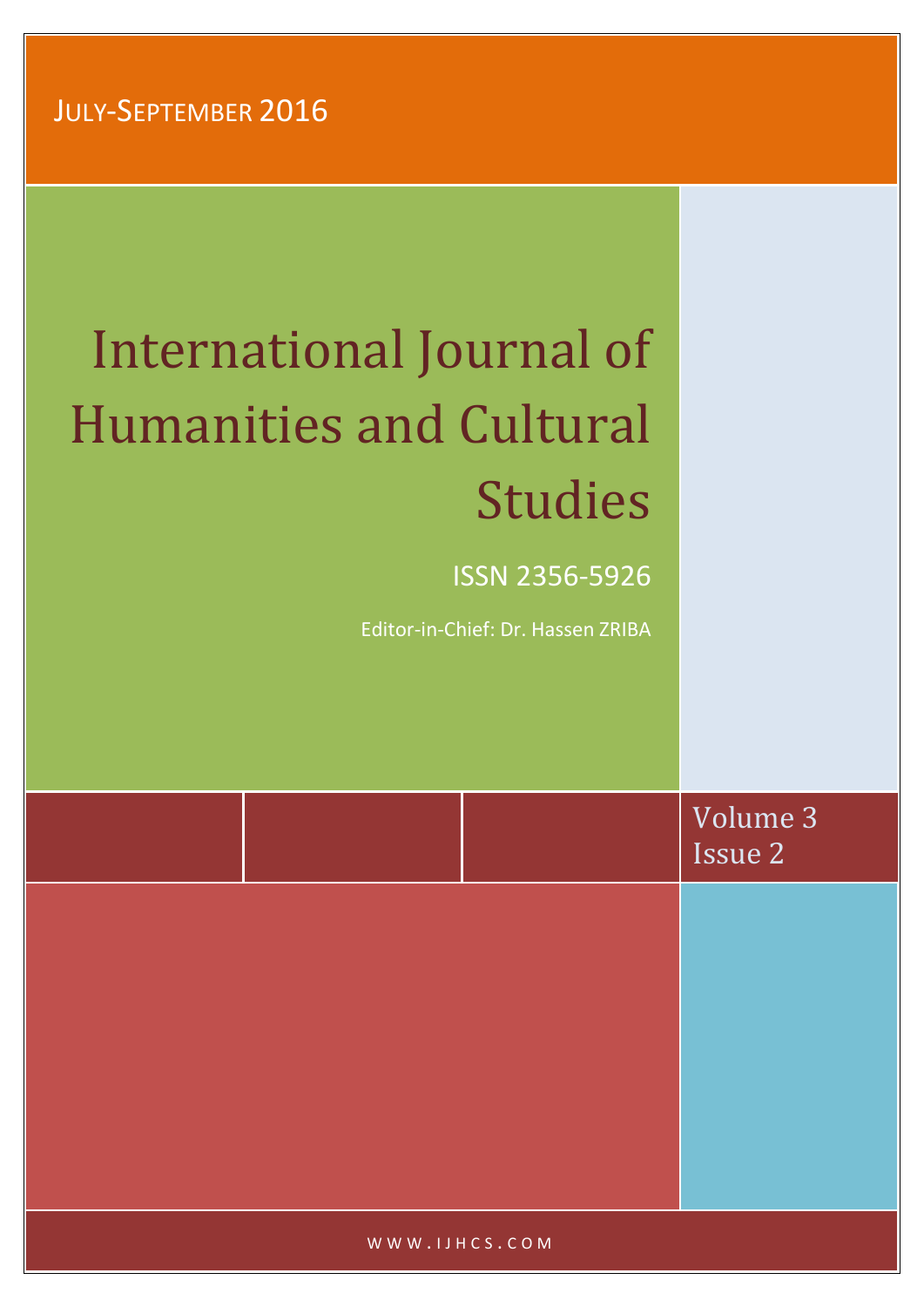# International Journal of Humanities and Cultural Studies

ISSN 2356-5926

Editor-in-Chief: Dr. Hassen ZRIBA

|  | Volume 3<br>Issue 2 |
|--|---------------------|
|  |                     |
|  |                     |
|  |                     |
|  |                     |
|  |                     |

WWW.IJHCS.COM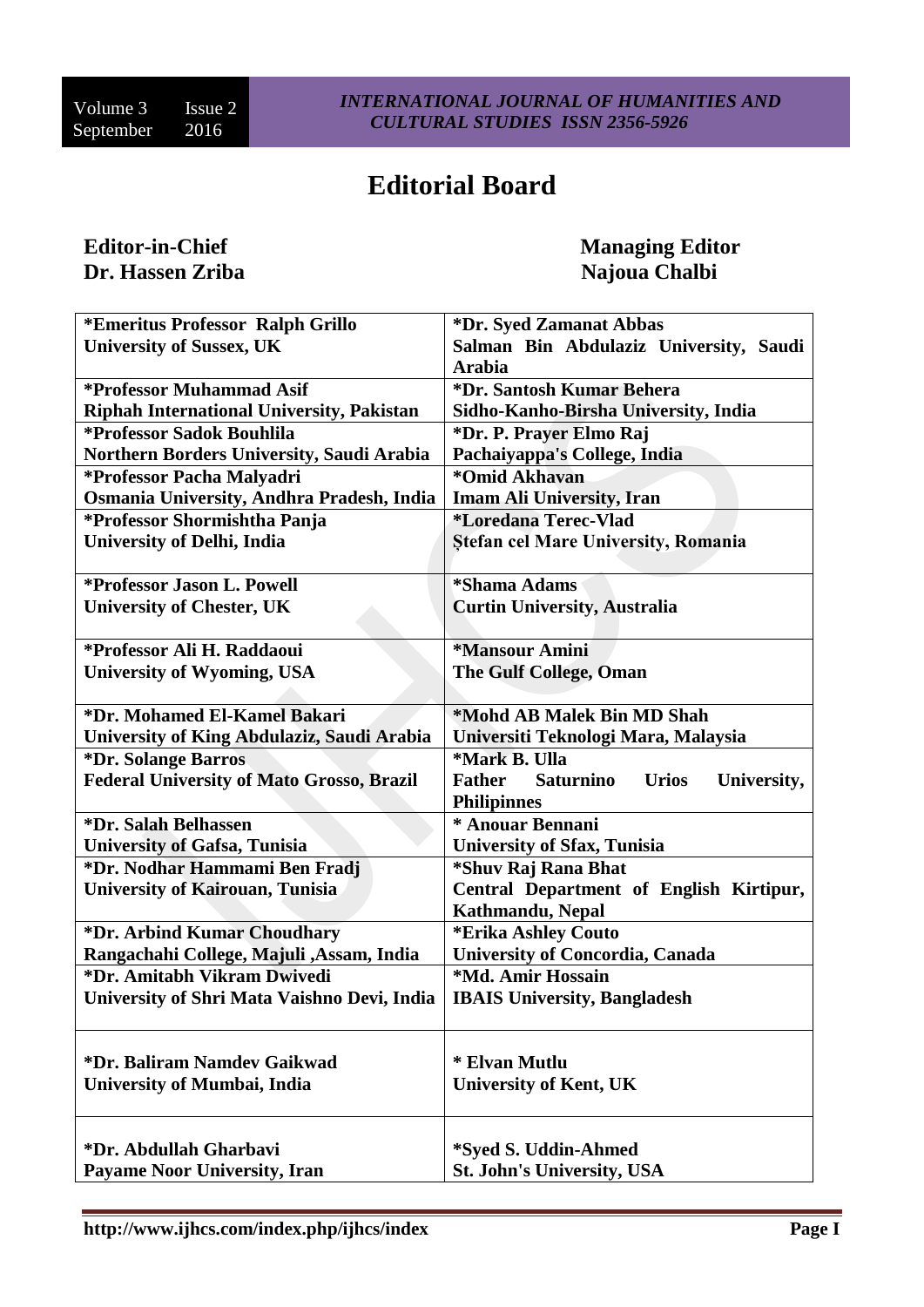# **Editorial Board**

# Editor-in-Chief Managing Editor<br> **Dr. Hassen Zriba** Managing Editor<br>
Managing Editor<br>
Najoua Chalbi

**Najoua Chalbi** 

| *Emeritus Professor Ralph Grillo                 | *Dr. Syed Zamanat Abbas                                          |  |
|--------------------------------------------------|------------------------------------------------------------------|--|
| <b>University of Sussex, UK</b>                  | Salman Bin Abdulaziz University, Saudi                           |  |
|                                                  | <b>Arabia</b>                                                    |  |
| *Professor Muhammad Asif                         | *Dr. Santosh Kumar Behera                                        |  |
| <b>Riphah International University, Pakistan</b> | Sidho-Kanho-Birsha University, India                             |  |
| *Professor Sadok Bouhlila                        | *Dr. P. Prayer Elmo Raj                                          |  |
| Northern Borders University, Saudi Arabia        | Pachaiyappa's College, India                                     |  |
| *Professor Pacha Malyadri                        | *Omid Akhavan                                                    |  |
| Osmania University, Andhra Pradesh, India        | <b>Imam Ali University, Iran</b>                                 |  |
| *Professor Shormishtha Panja                     | <i>*Loredana Terec-Vlad</i>                                      |  |
| <b>University of Delhi, India</b>                | Stefan cel Mare University, Romania                              |  |
|                                                  |                                                                  |  |
| <i>*Professor Jason L. Powell</i>                | *Shama Adams                                                     |  |
| <b>University of Chester, UK</b>                 | <b>Curtin University, Australia</b>                              |  |
|                                                  |                                                                  |  |
| *Professor Ali H. Raddaoui                       | *Mansour Amini                                                   |  |
| <b>University of Wyoming, USA</b>                | <b>The Gulf College, Oman</b>                                    |  |
|                                                  |                                                                  |  |
| *Dr. Mohamed El-Kamel Bakari                     | *Mohd AB Malek Bin MD Shah                                       |  |
| University of King Abdulaziz, Saudi Arabia       | Universiti Teknologi Mara, Malaysia                              |  |
| *Dr. Solange Barros                              | *Mark B. Ulla                                                    |  |
| <b>Federal University of Mato Grosso, Brazil</b> | <b>Saturnino</b><br><b>Father</b><br><b>Urios</b><br>University, |  |
|                                                  | <b>Philipinnes</b>                                               |  |
| *Dr. Salah Belhassen                             | * Anouar Bennani                                                 |  |
| <b>University of Gafsa, Tunisia</b>              | University of Sfax, Tunisia                                      |  |
| *Dr. Nodhar Hammami Ben Fradj                    | *Shuv Raj Rana Bhat                                              |  |
| <b>University of Kairouan, Tunisia</b>           | Central Department of English Kirtipur,                          |  |
|                                                  | Kathmandu, Nepal                                                 |  |
| *Dr. Arbind Kumar Choudhary                      | *Erika Ashley Couto                                              |  |
| Rangachahi College, Majuli , Assam, India        | <b>University of Concordia, Canada</b>                           |  |
| *Dr. Amitabh Vikram Dwivedi                      | *Md. Amir Hossain                                                |  |
| University of Shri Mata Vaishno Devi, India      | <b>IBAIS University, Bangladesh</b>                              |  |
|                                                  |                                                                  |  |
|                                                  |                                                                  |  |
| *Dr. Baliram Namdev Gaikwad                      | * Elvan Mutlu                                                    |  |
| <b>University of Mumbai, India</b>               | <b>University of Kent, UK</b>                                    |  |
|                                                  |                                                                  |  |
|                                                  |                                                                  |  |
| *Dr. Abdullah Gharbavi                           | *Syed S. Uddin-Ahmed                                             |  |
| <b>Payame Noor University, Iran</b>              | <b>St. John's University, USA</b>                                |  |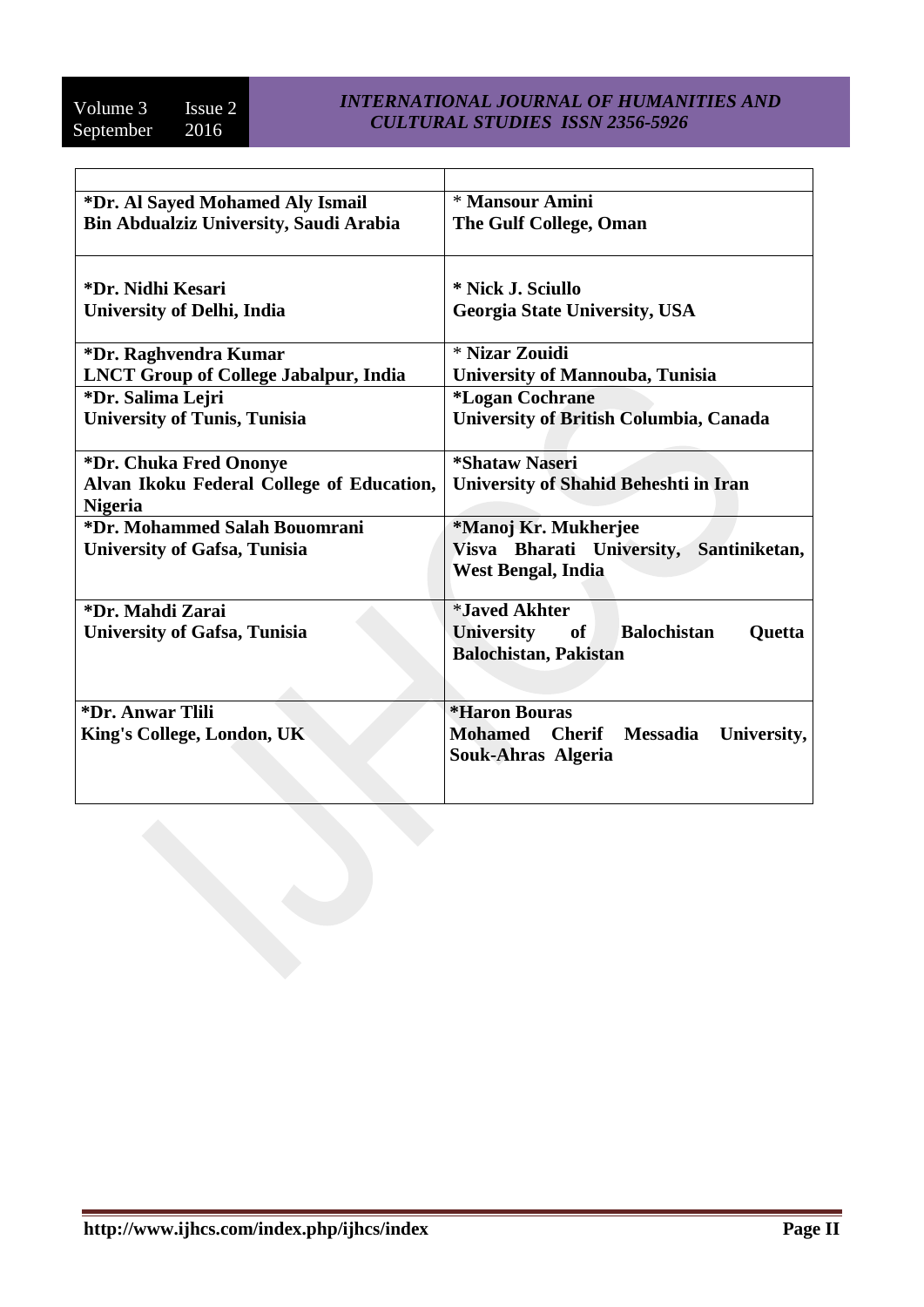| *Dr. Al Sayed Mohamed Aly Ismail              | * Mansour Amini                                                   |  |
|-----------------------------------------------|-------------------------------------------------------------------|--|
| <b>Bin Abdualziz University, Saudi Arabia</b> | The Gulf College, Oman                                            |  |
| *Dr. Nidhi Kesari                             | * Nick J. Sciullo                                                 |  |
| <b>University of Delhi, India</b>             | <b>Georgia State University, USA</b>                              |  |
| *Dr. Raghvendra Kumar                         | * Nizar Zouidi                                                    |  |
| <b>LNCT Group of College Jabalpur, India</b>  | <b>University of Mannouba, Tunisia</b>                            |  |
| *Dr. Salima Lejri                             | <i><b>*Logan Cochrane</b></i>                                     |  |
| <b>University of Tunis, Tunisia</b>           | <b>University of British Columbia, Canada</b>                     |  |
| *Dr. Chuka Fred Ononye                        | <i><b>*Shataw Naseri</b></i>                                      |  |
| Alvan Ikoku Federal College of Education,     | University of Shahid Beheshti in Iran                             |  |
| <b>Nigeria</b>                                |                                                                   |  |
| *Dr. Mohammed Salah Bouomrani                 | *Manoj Kr. Mukherjee                                              |  |
| <b>University of Gafsa, Tunisia</b>           | Visva Bharati University, Santiniketan,                           |  |
|                                               | <b>West Bengal, India</b>                                         |  |
| *Dr. Mahdi Zarai                              | <i><b>*Javed Akhter</b></i>                                       |  |
| <b>University of Gafsa, Tunisia</b>           | <b>Balochistan</b><br>University of<br><b>Quetta</b>              |  |
|                                               | <b>Balochistan, Pakistan</b>                                      |  |
|                                               |                                                                   |  |
| <i><b>*Dr. Anwar Tlili</b></i>                | <i><b>*Haron Bouras</b></i>                                       |  |
| King's College, London, UK                    | <b>Mohamed</b><br><b>Cherif</b><br><b>Messadia</b><br>University, |  |
|                                               | Souk-Ahras Algeria                                                |  |
|                                               |                                                                   |  |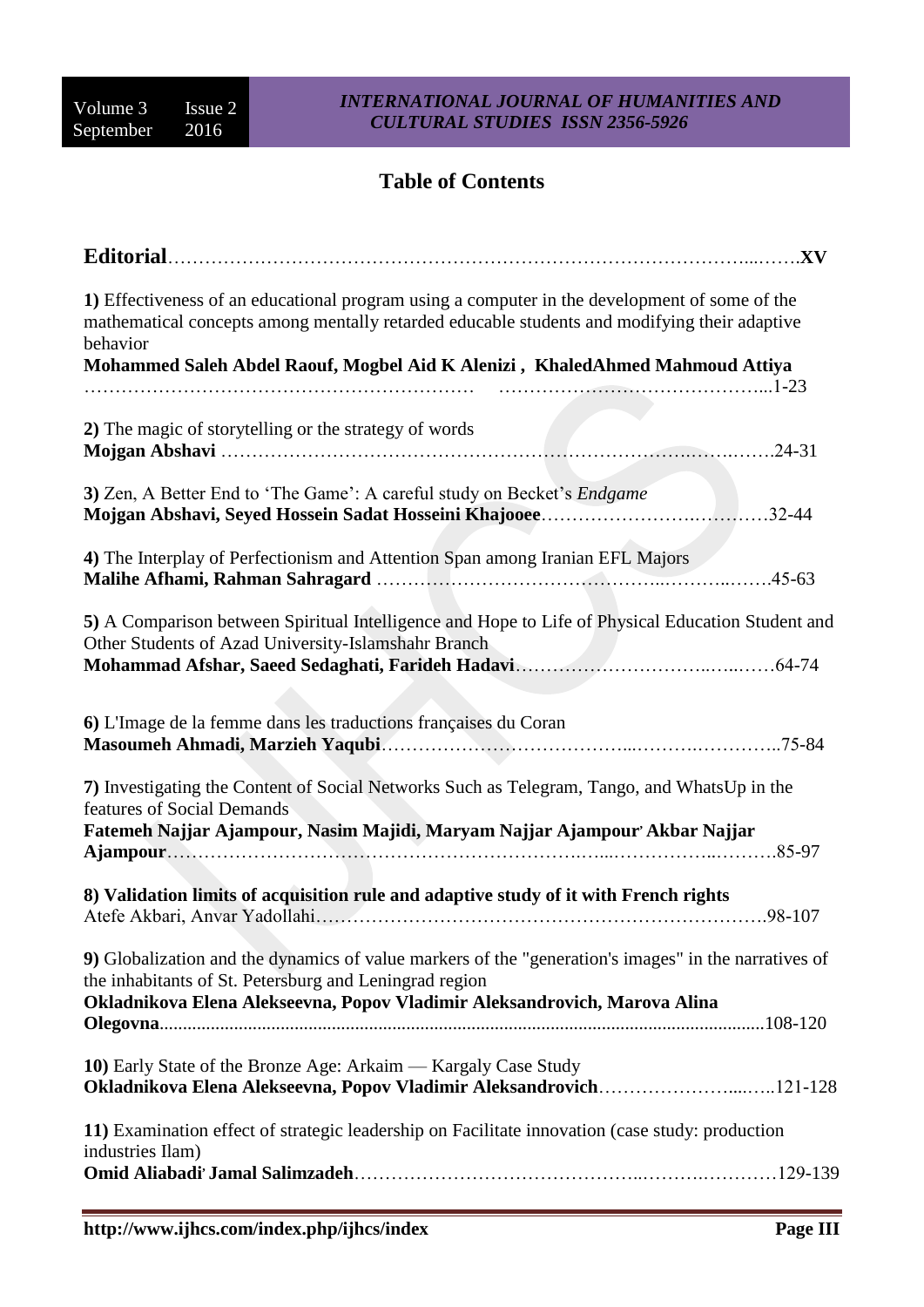### **Table of Contents**

| Editorial                                                                                                                                                                                                 | .XV        |
|-----------------------------------------------------------------------------------------------------------------------------------------------------------------------------------------------------------|------------|
| 1) Effectiveness of an educational program using a computer in the development of some of the<br>mathematical concepts among mentally retarded educable students and modifying their adaptive<br>behavior |            |
| Mohammed Saleh Abdel Raouf, Mogbel Aid K Alenizi, KhaledAhmed Mahmoud Attiya                                                                                                                              |            |
|                                                                                                                                                                                                           |            |
| 2) The magic of storytelling or the strategy of words                                                                                                                                                     |            |
| 3) Zen, A Better End to 'The Game': A careful study on Becket's <i>Endgame</i>                                                                                                                            |            |
| 4) The Interplay of Perfectionism and Attention Span among Iranian EFL Majors                                                                                                                             | $.45 - 63$ |
| 5) A Comparison between Spiritual Intelligence and Hope to Life of Physical Education Student and<br>Other Students of Azad University-Islamshahr Branch                                                  |            |
|                                                                                                                                                                                                           |            |
| 6) L'Image de la femme dans les traductions françaises du Coran                                                                                                                                           | $.75 - 84$ |
| 7) Investigating the Content of Social Networks Such as Telegram, Tango, and WhatsUp in the<br>features of Social Demands                                                                                 |            |
| Fatemeh Najjar Ajampour, Nasim Majidi, Maryam Najjar Ajampour' Akbar Najjar                                                                                                                               |            |
| 8) Validation limits of acquisition rule and adaptive study of it with French rights                                                                                                                      |            |
| 9) Globalization and the dynamics of value markers of the "generation's images" in the narratives of<br>the inhabitants of St. Petersburg and Leningrad region                                            |            |
| Okladnikova Elena Alekseevna, Popov Vladimir Aleksandrovich, Marova Alina                                                                                                                                 |            |
| 10) Early State of the Bronze Age: Arkaim — Kargaly Case Study<br>Okladnikova Elena Alekseevna, Popov Vladimir Aleksandrovich121-128                                                                      |            |
| 11) Examination effect of strategic leadership on Facilitate innovation (case study: production<br>industries Ilam)                                                                                       |            |
|                                                                                                                                                                                                           |            |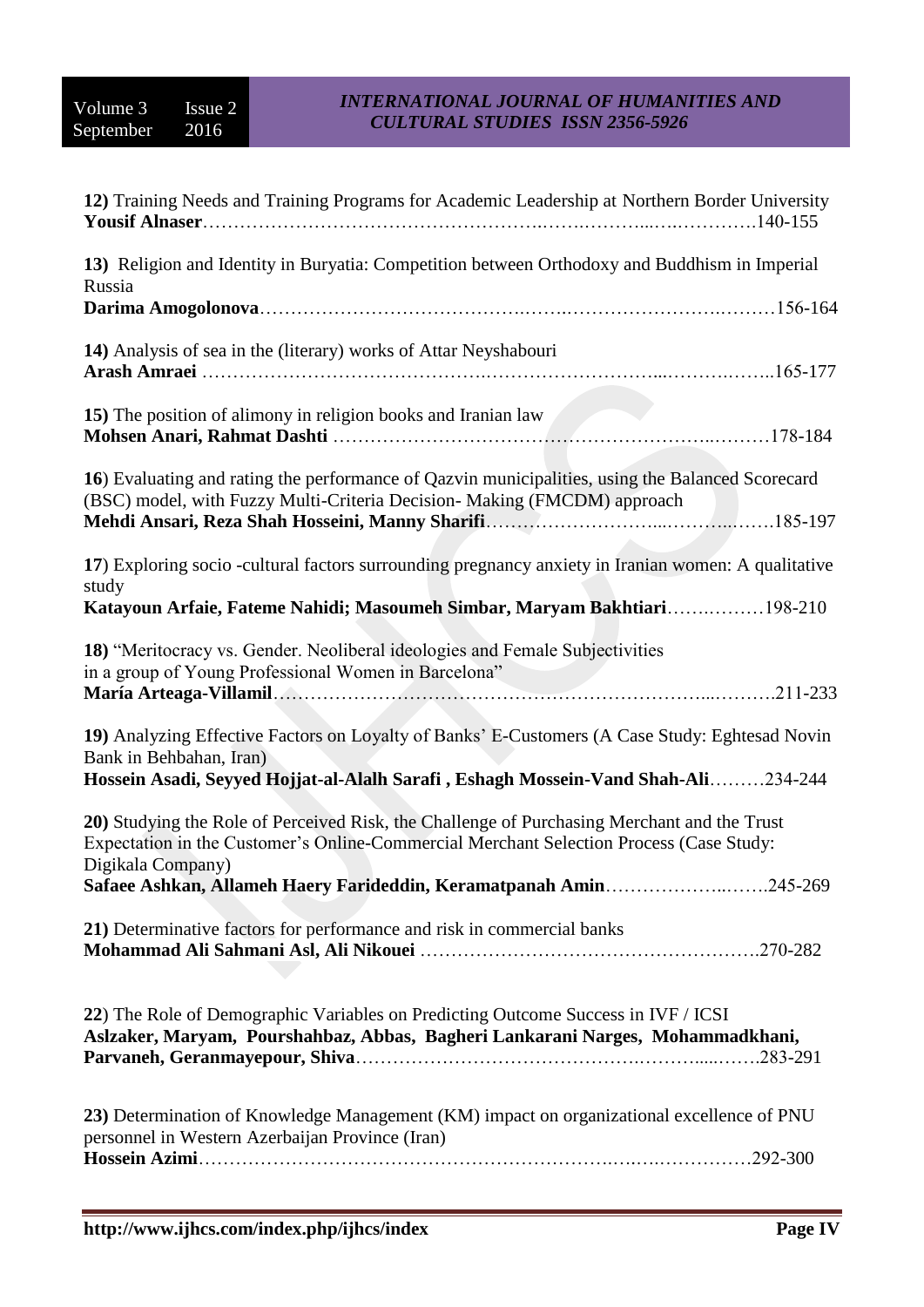| 12) Training Needs and Training Programs for Academic Leadership at Northern Border University                                                                                                                 |
|----------------------------------------------------------------------------------------------------------------------------------------------------------------------------------------------------------------|
| 13) Religion and Identity in Buryatia: Competition between Orthodoxy and Buddhism in Imperial<br>Russia                                                                                                        |
|                                                                                                                                                                                                                |
| 14) Analysis of sea in the (literary) works of Attar Neyshabouri                                                                                                                                               |
| 15) The position of alimony in religion books and Iranian law                                                                                                                                                  |
| 16) Evaluating and rating the performance of Qazvin municipalities, using the Balanced Scorecard<br>(BSC) model, with Fuzzy Multi-Criteria Decision- Making (FMCDM) approach                                   |
| 17) Exploring socio -cultural factors surrounding pregnancy anxiety in Iranian women: A qualitative<br>study<br>Katayoun Arfaie, Fateme Nahidi; Masoumeh Simbar, Maryam Bakhtiari198-210                       |
| 18) "Meritocracy vs. Gender. Neoliberal ideologies and Female Subjectivities<br>in a group of Young Professional Women in Barcelona"                                                                           |
| 19) Analyzing Effective Factors on Loyalty of Banks' E-Customers (A Case Study: Eghtesad Novin<br>Bank in Behbahan, Iran)<br>Hossein Asadi, Seyyed Hojjat-al-Alalh Sarafi, Eshagh Mossein-Vand Shah-Ali234-244 |
| 20) Studying the Role of Perceived Risk, the Challenge of Purchasing Merchant and the Trust<br>Expectation in the Customer's Online-Commercial Merchant Selection Process (Case Study:<br>Digikala Company)    |
| Safaee Ashkan, Allameh Haery Farideddin, Keramatpanah Amin245-269                                                                                                                                              |
| 21) Determinative factors for performance and risk in commercial banks                                                                                                                                         |
| 22) The Role of Demographic Variables on Predicting Outcome Success in IVF / ICSI<br>Aslzaker, Maryam, Pourshahbaz, Abbas, Bagheri Lankarani Narges, Mohammadkhani,                                            |
| 23) Determination of Knowledge Management (KM) impact on organizational excellence of PNU<br>personnel in Western Azerbaijan Province (Iran)                                                                   |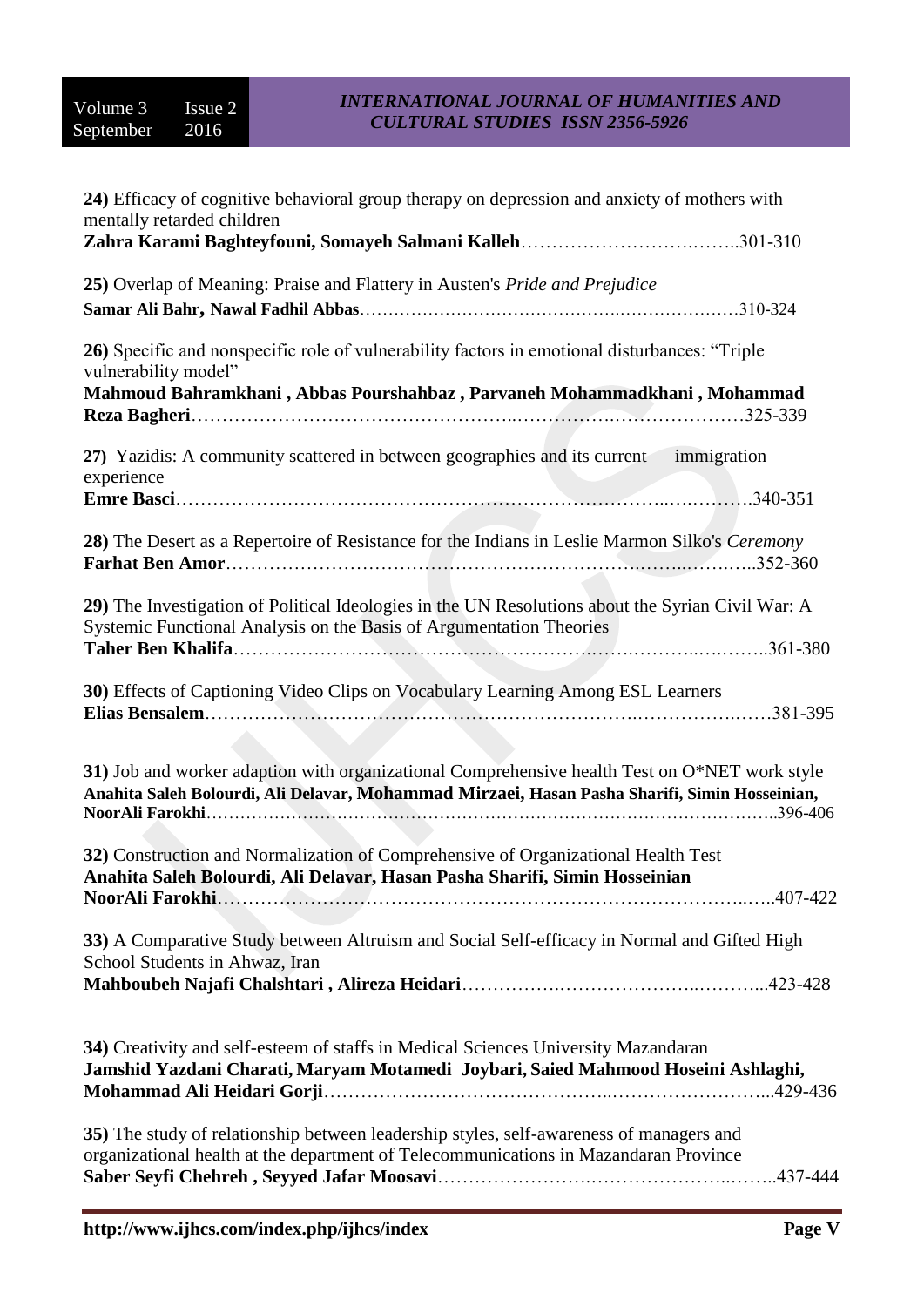| 24) Efficacy of cognitive behavioral group therapy on depression and anxiety of mothers with<br>mentally retarded children                                                                        |
|---------------------------------------------------------------------------------------------------------------------------------------------------------------------------------------------------|
|                                                                                                                                                                                                   |
| 25) Overlap of Meaning: Praise and Flattery in Austen's Pride and Prejudice                                                                                                                       |
| 26) Specific and nonspecific role of vulnerability factors in emotional disturbances: "Triple<br>vulnerability model"<br>Mahmoud Bahramkhani, Abbas Pourshahbaz, Parvaneh Mohammadkhani, Mohammad |
| 27) Yazidis: A community scattered in between geographies and its current immigration<br>experience                                                                                               |
|                                                                                                                                                                                                   |
| 28) The Desert as a Repertoire of Resistance for the Indians in Leslie Marmon Silko's Ceremony                                                                                                    |
| 29) The Investigation of Political Ideologies in the UN Resolutions about the Syrian Civil War: A<br>Systemic Functional Analysis on the Basis of Argumentation Theories                          |
| 30) Effects of Captioning Video Clips on Vocabulary Learning Among ESL Learners                                                                                                                   |
| 31) Job and worker adaption with organizational Comprehensive health Test on O*NET work style<br>Anahita Saleh Bolourdi, Ali Delavar, Mohammad Mirzaei, Hasan Pasha Sharifi, Simin Hosseinian,    |
| 32) Construction and Normalization of Comprehensive of Organizational Health Test<br>Anahita Saleh Bolourdi, Ali Delavar, Hasan Pasha Sharifi, Simin Hosseinian                                   |
| 33) A Comparative Study between Altruism and Social Self-efficacy in Normal and Gifted High<br>School Students in Ahwaz, Iran                                                                     |
|                                                                                                                                                                                                   |
| 34) Creativity and self-esteem of staffs in Medical Sciences University Mazandaran<br>Jamshid Yazdani Charati, Maryam Motamedi Joybari, Saied Mahmood Hoseini Ashlaghi,                           |
| 35) The study of relationship between leadership styles, self-awareness of managers and<br>organizational health at the department of Telecommunications in Mazandaran Province                   |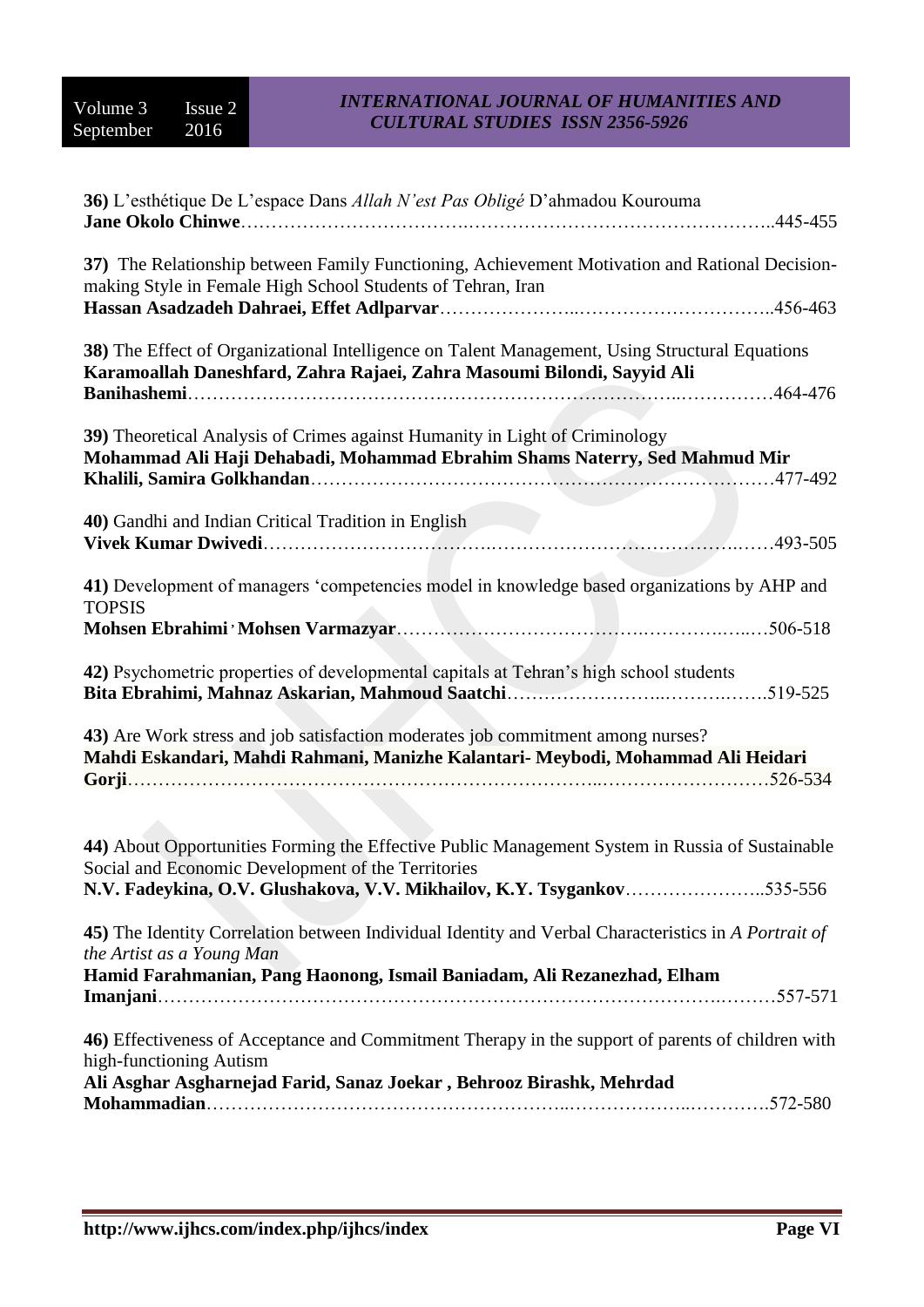| 36) L'esthétique De L'espace Dans Allah N'est Pas Obligé D'ahmadou Kourouma<br>$.445 - 455$                                                                                                                                     |
|---------------------------------------------------------------------------------------------------------------------------------------------------------------------------------------------------------------------------------|
| 37) The Relationship between Family Functioning, Achievement Motivation and Rational Decision-<br>making Style in Female High School Students of Tehran, Iran                                                                   |
| 38) The Effect of Organizational Intelligence on Talent Management, Using Structural Equations<br>Karamoallah Daneshfard, Zahra Rajaei, Zahra Masoumi Bilondi, Sayyid Ali                                                       |
| 39) Theoretical Analysis of Crimes against Humanity in Light of Criminology<br>Mohammad Ali Haji Dehabadi, Mohammad Ebrahim Shams Naterry, Sed Mahmud Mir                                                                       |
| 40) Gandhi and Indian Critical Tradition in English                                                                                                                                                                             |
| 41) Development of managers 'competencies model in knowledge based organizations by AHP and<br><b>TOPSIS</b>                                                                                                                    |
| 42) Psychometric properties of developmental capitals at Tehran's high school students                                                                                                                                          |
| 43) Are Work stress and job satisfaction moderates job commitment among nurses?<br>Mahdi Eskandari, Mahdi Rahmani, Manizhe Kalantari- Meybodi, Mohammad Ali Heidari                                                             |
| 44) About Opportunities Forming the Effective Public Management System in Russia of Sustainable<br>Social and Economic Development of the Territories<br>N.V. Fadeykina, O.V. Glushakova, V.V. Mikhailov, K.Y. Tsygankov535-556 |
| 45) The Identity Correlation between Individual Identity and Verbal Characteristics in A Portrait of<br>the Artist as a Young Man<br>Hamid Farahmanian, Pang Haonong, Ismail Baniadam, Ali Rezanezhad, Elham                    |
| 46) Effectiveness of Acceptance and Commitment Therapy in the support of parents of children with<br>high-functioning Autism<br>Ali Asghar Asgharnejad Farid, Sanaz Joekar, Behrooz Birashk, Mehrdad                            |
|                                                                                                                                                                                                                                 |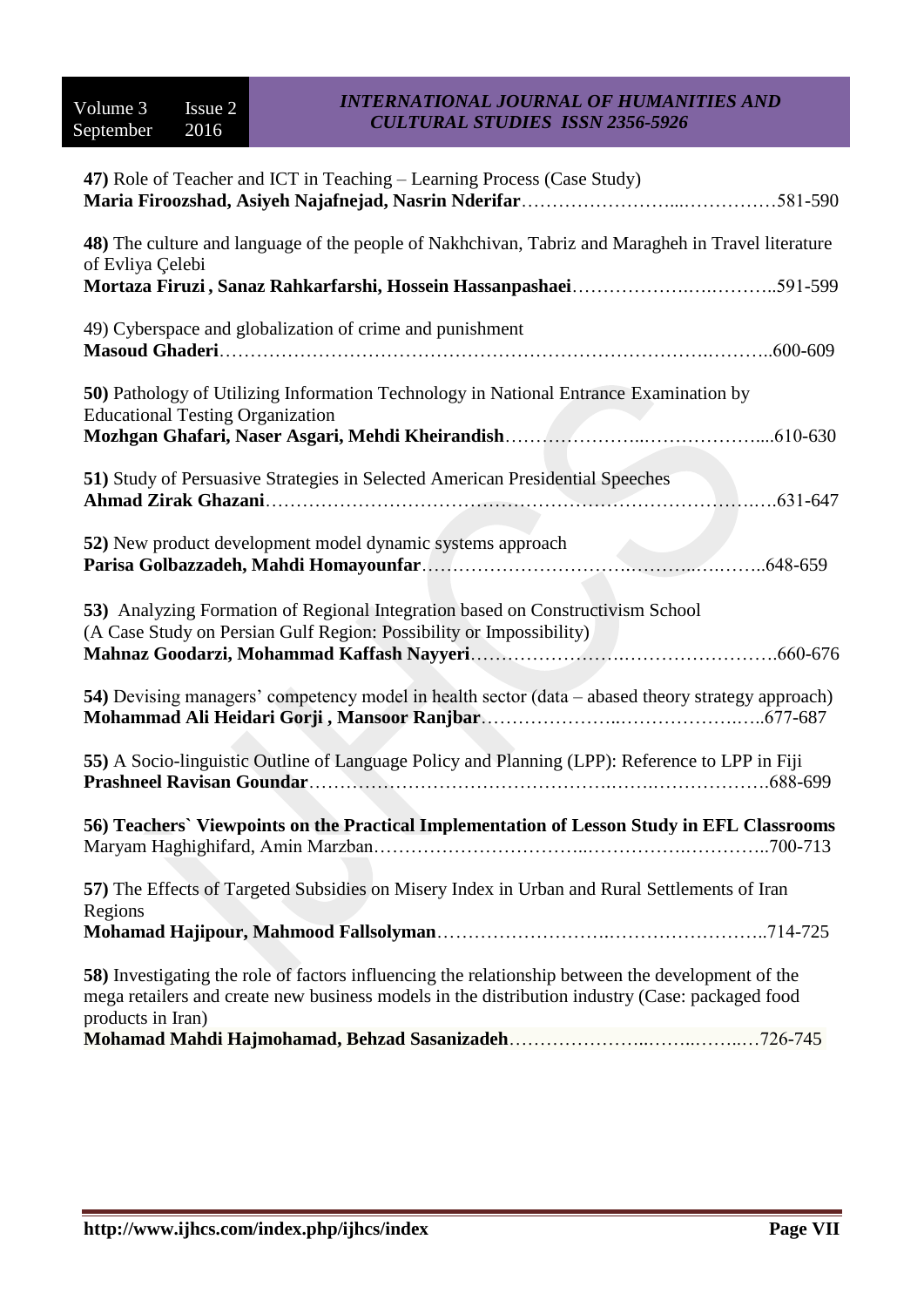| 47) Role of Teacher and ICT in Teaching – Learning Process (Case Study)                                                                                                                                                   |
|---------------------------------------------------------------------------------------------------------------------------------------------------------------------------------------------------------------------------|
| 48) The culture and language of the people of Nakhchivan, Tabriz and Maragheh in Travel literature<br>of Evliya Çelebi                                                                                                    |
|                                                                                                                                                                                                                           |
| 49) Cyberspace and globalization of crime and punishment<br>.600-609                                                                                                                                                      |
| 50) Pathology of Utilizing Information Technology in National Entrance Examination by<br><b>Educational Testing Organization</b>                                                                                          |
|                                                                                                                                                                                                                           |
| 51) Study of Persuasive Strategies in Selected American Presidential Speeches<br>$.631 - 647$                                                                                                                             |
| 52) New product development model dynamic systems approach                                                                                                                                                                |
| 53) Analyzing Formation of Regional Integration based on Constructivism School<br>(A Case Study on Persian Gulf Region: Possibility or Impossibility)                                                                     |
| 54) Devising managers' competency model in health sector (data - abased theory strategy approach)                                                                                                                         |
| 55) A Socio-linguistic Outline of Language Policy and Planning (LPP): Reference to LPP in Fiji                                                                                                                            |
| 56) Teachers' Viewpoints on the Practical Implementation of Lesson Study in EFL Classrooms                                                                                                                                |
| 57) The Effects of Targeted Subsidies on Misery Index in Urban and Rural Settlements of Iran<br>Regions                                                                                                                   |
|                                                                                                                                                                                                                           |
| 58) Investigating the role of factors influencing the relationship between the development of the<br>mega retailers and create new business models in the distribution industry (Case: packaged food<br>products in Iran) |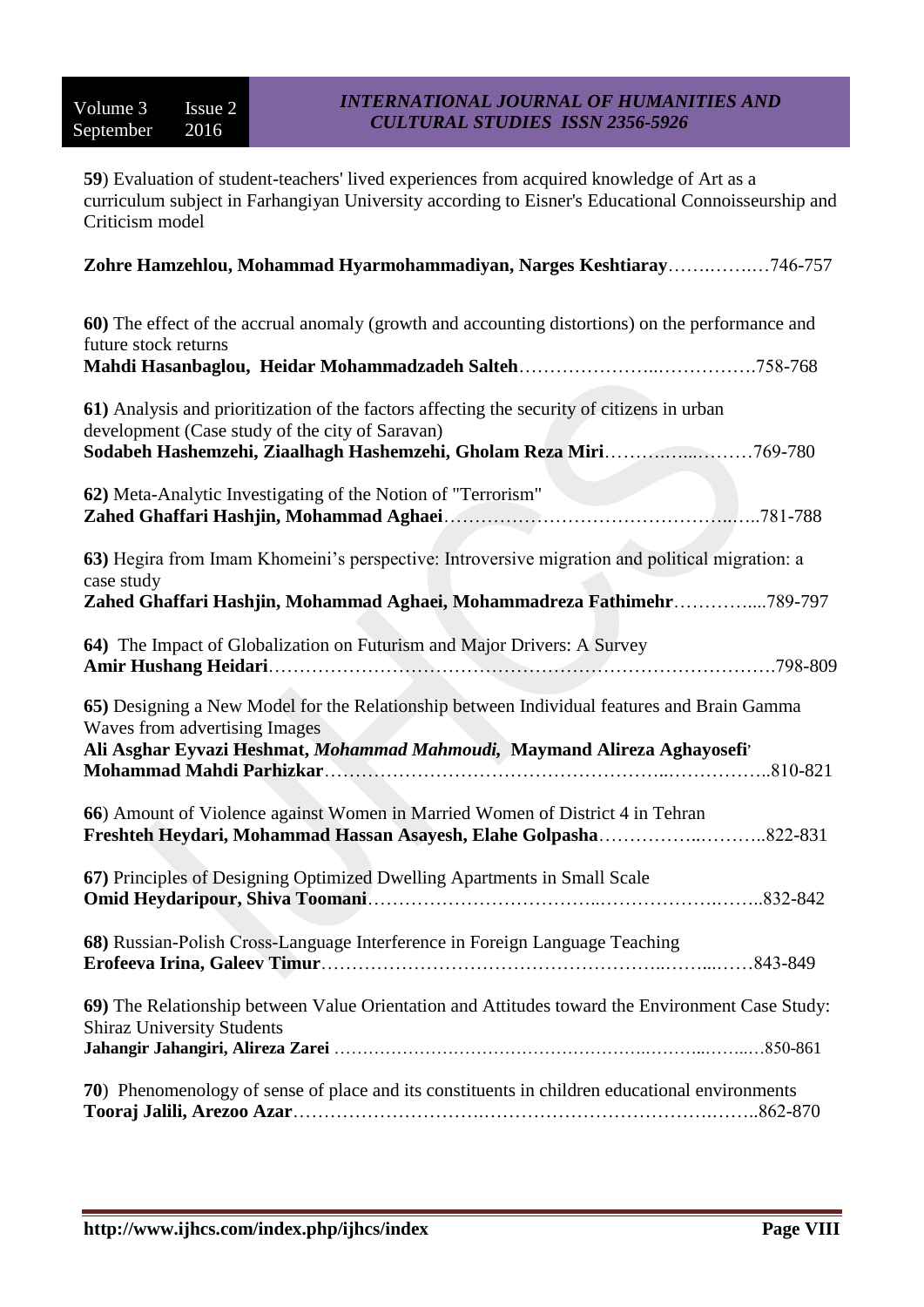**59**) Evaluation of student-teachers' lived experiences from acquired knowledge of Art as a curriculum subject in Farhangiyan University according to Eisner's Educational Connoisseurship and Criticism model

| Zohre Hamzehlou, Mohammad Hyarmohammadiyan, Narges Keshtiaray746-757                                                                                                                                               |
|--------------------------------------------------------------------------------------------------------------------------------------------------------------------------------------------------------------------|
| 60) The effect of the accrual anomaly (growth and accounting distortions) on the performance and<br>future stock returns                                                                                           |
|                                                                                                                                                                                                                    |
| 61) Analysis and prioritization of the factors affecting the security of citizens in urban<br>development (Case study of the city of Saravan)<br>Sodabeh Hashemzehi, Ziaalhagh Hashemzehi, Gholam Reza Miri769-780 |
| 62) Meta-Analytic Investigating of the Notion of "Terrorism"                                                                                                                                                       |
| 63) Hegira from Imam Khomeini's perspective: Introversive migration and political migration: a<br>case study<br>Zahed Ghaffari Hashjin, Mohammad Aghaei, Mohammadreza Fathimehr789-797                             |
| 64) The Impact of Globalization on Futurism and Major Drivers: A Survey                                                                                                                                            |
| 65) Designing a New Model for the Relationship between Individual features and Brain Gamma<br>Waves from advertising Images<br>Ali Asghar Eyvazi Heshmat, Mohammad Mahmoudi, Maymand Alireza Aghayosefi'           |
| 66) Amount of Violence against Women in Married Women of District 4 in Tehran                                                                                                                                      |
| 67) Principles of Designing Optimized Dwelling Apartments in Small Scale                                                                                                                                           |
| 68) Russian-Polish Cross-Language Interference in Foreign Language Teaching                                                                                                                                        |
| 69) The Relationship between Value Orientation and Attitudes toward the Environment Case Study:<br><b>Shiraz University Students</b>                                                                               |
| 70) Phenomenology of sense of place and its constituents in children educational environments                                                                                                                      |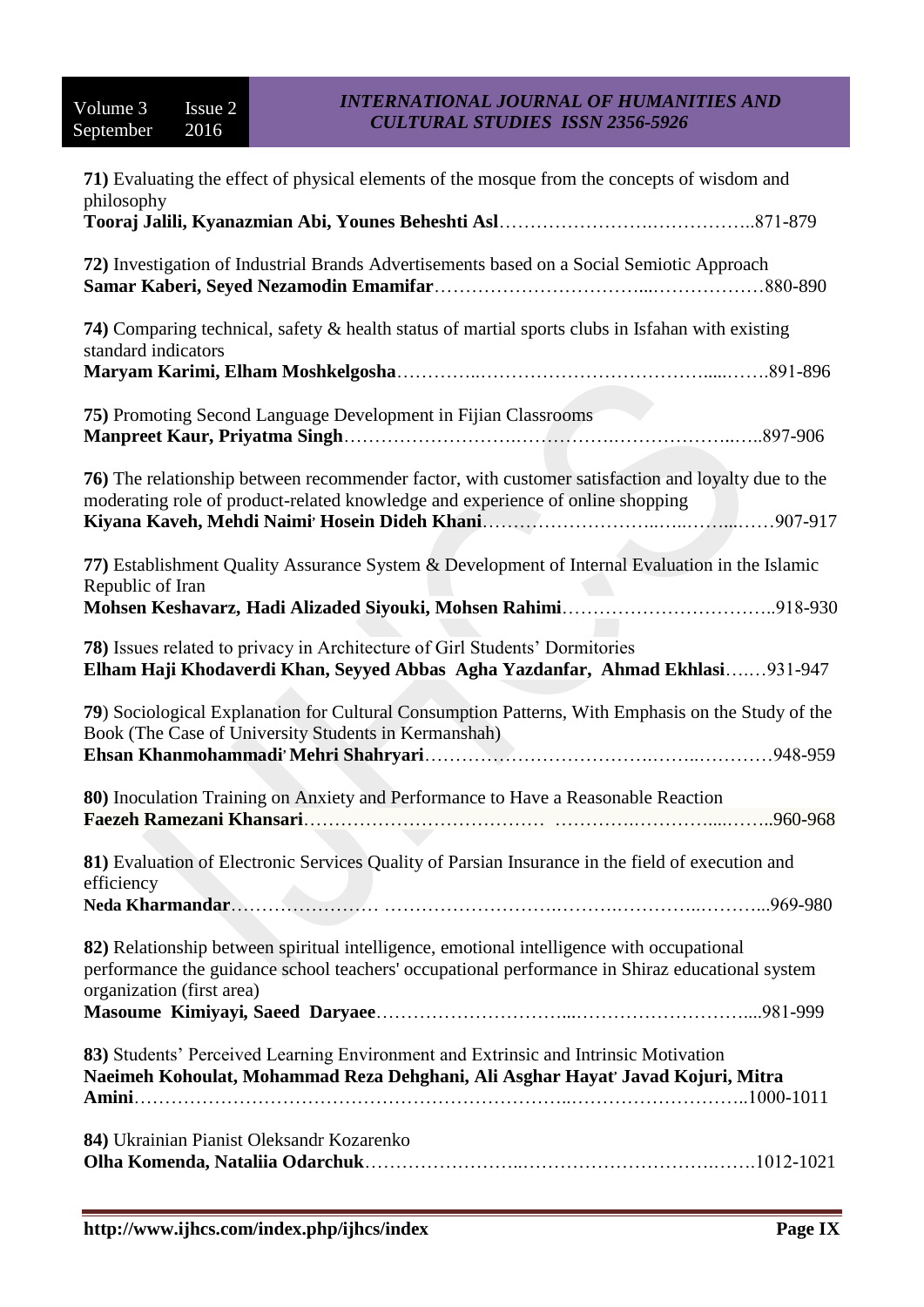| 71) Evaluating the effect of physical elements of the mosque from the concepts of wisdom and<br>philosophy                                                                                                                |
|---------------------------------------------------------------------------------------------------------------------------------------------------------------------------------------------------------------------------|
|                                                                                                                                                                                                                           |
| 72) Investigation of Industrial Brands Advertisements based on a Social Semiotic Approach                                                                                                                                 |
| 74) Comparing technical, safety & health status of martial sports clubs in Isfahan with existing<br>standard indicators                                                                                                   |
|                                                                                                                                                                                                                           |
| <b>75)</b> Promoting Second Language Development in Fijian Classrooms                                                                                                                                                     |
| 76) The relationship between recommender factor, with customer satisfaction and loyalty due to the<br>moderating role of product-related knowledge and experience of online shopping                                      |
| 77) Establishment Quality Assurance System & Development of Internal Evaluation in the Islamic<br>Republic of Iran                                                                                                        |
| 78) Issues related to privacy in Architecture of Girl Students' Dormitories<br>Elham Haji Khodaverdi Khan, Seyyed Abbas Agha Yazdanfar, Ahmad Ekhlasi931-947                                                              |
| 79) Sociological Explanation for Cultural Consumption Patterns, With Emphasis on the Study of the<br>Book (The Case of University Students in Kermanshah)                                                                 |
| 80) Inoculation Training on Anxiety and Performance to Have a Reasonable Reaction                                                                                                                                         |
| 81) Evaluation of Electronic Services Quality of Parsian Insurance in the field of execution and<br>efficiency                                                                                                            |
|                                                                                                                                                                                                                           |
| 82) Relationship between spiritual intelligence, emotional intelligence with occupational<br>performance the guidance school teachers' occupational performance in Shiraz educational system<br>organization (first area) |
|                                                                                                                                                                                                                           |
| 83) Students' Perceived Learning Environment and Extrinsic and Intrinsic Motivation<br>Naeimeh Kohoulat, Mohammad Reza Dehghani, Ali Asghar Hayat' Javad Kojuri, Mitra                                                    |
| 84) Ukrainian Pianist Oleksandr Kozarenko                                                                                                                                                                                 |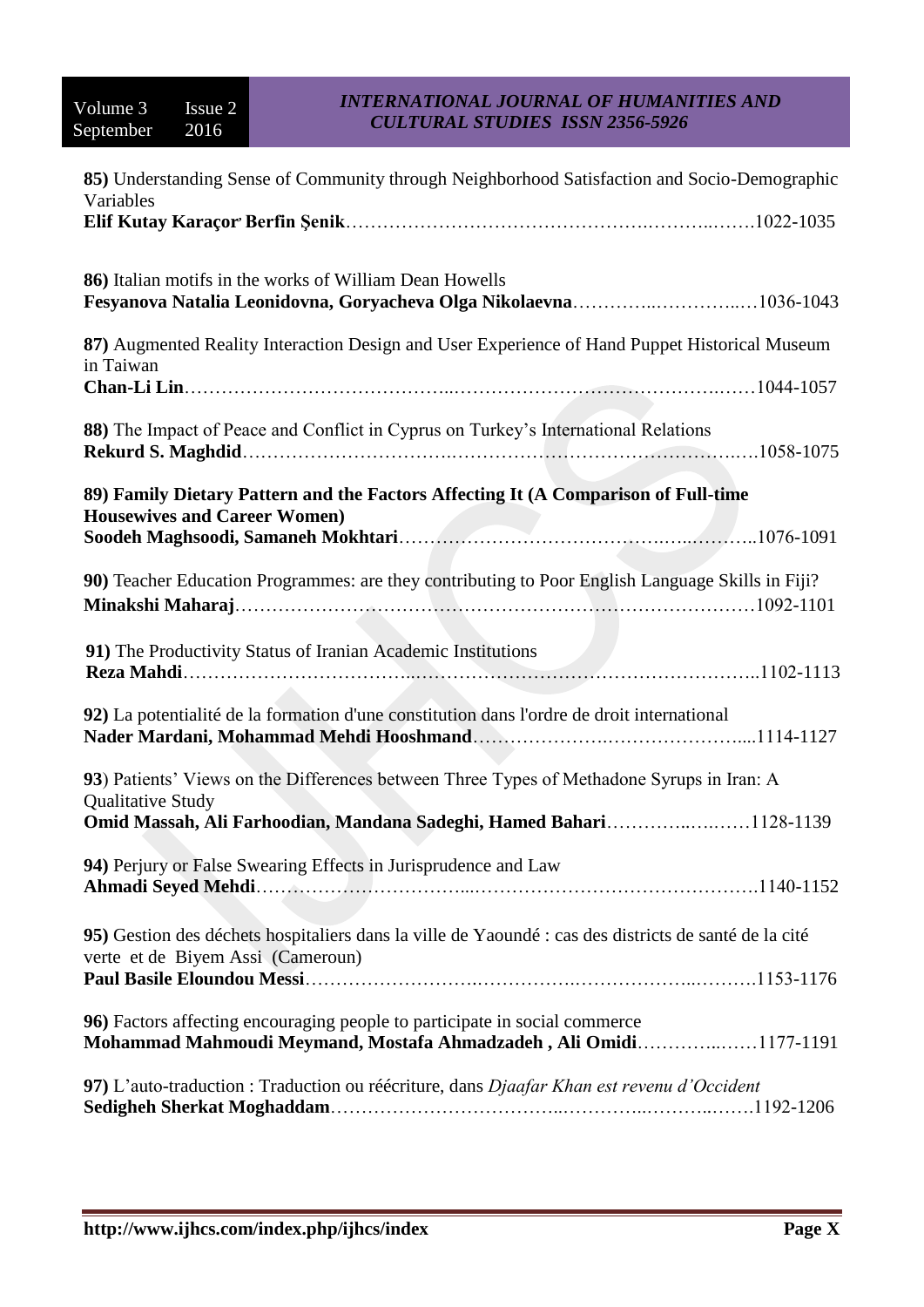| 85) Understanding Sense of Community through Neighborhood Satisfaction and Socio-Demographic<br>Variables                                       |
|-------------------------------------------------------------------------------------------------------------------------------------------------|
|                                                                                                                                                 |
|                                                                                                                                                 |
| 86) Italian motifs in the works of William Dean Howells                                                                                         |
| 87) Augmented Reality Interaction Design and User Experience of Hand Puppet Historical Museum<br>in Taiwan                                      |
|                                                                                                                                                 |
| 88) The Impact of Peace and Conflict in Cyprus on Turkey's International Relations                                                              |
| 89) Family Dietary Pattern and the Factors Affecting It (A Comparison of Full-time                                                              |
| <b>Housewives and Career Women)</b>                                                                                                             |
| 90) Teacher Education Programmes: are they contributing to Poor English Language Skills in Fiji?                                                |
| 91) The Productivity Status of Iranian Academic Institutions                                                                                    |
| 92) La potentialité de la formation d'une constitution dans l'ordre de droit international                                                      |
| 93) Patients' Views on the Differences between Three Types of Methadone Syrups in Iran: A                                                       |
| <b>Qualitative Study</b><br>Omid Massah, Ali Farhoodian, Mandana Sadeghi, Hamed Bahari1128-1139                                                 |
| 94) Perjury or False Swearing Effects in Jurisprudence and Law                                                                                  |
| 95) Gestion des déchets hospitaliers dans la ville de Yaoundé : cas des districts de santé de la cité<br>verte et de Biyem Assi (Cameroun)      |
|                                                                                                                                                 |
| 96) Factors affecting encouraging people to participate in social commerce<br>Mohammad Mahmoudi Meymand, Mostafa Ahmadzadeh, Ali Omidi1177-1191 |
| 97) L'auto-traduction : Traduction ou réécriture, dans Djaafar Khan est revenu d'Occident                                                       |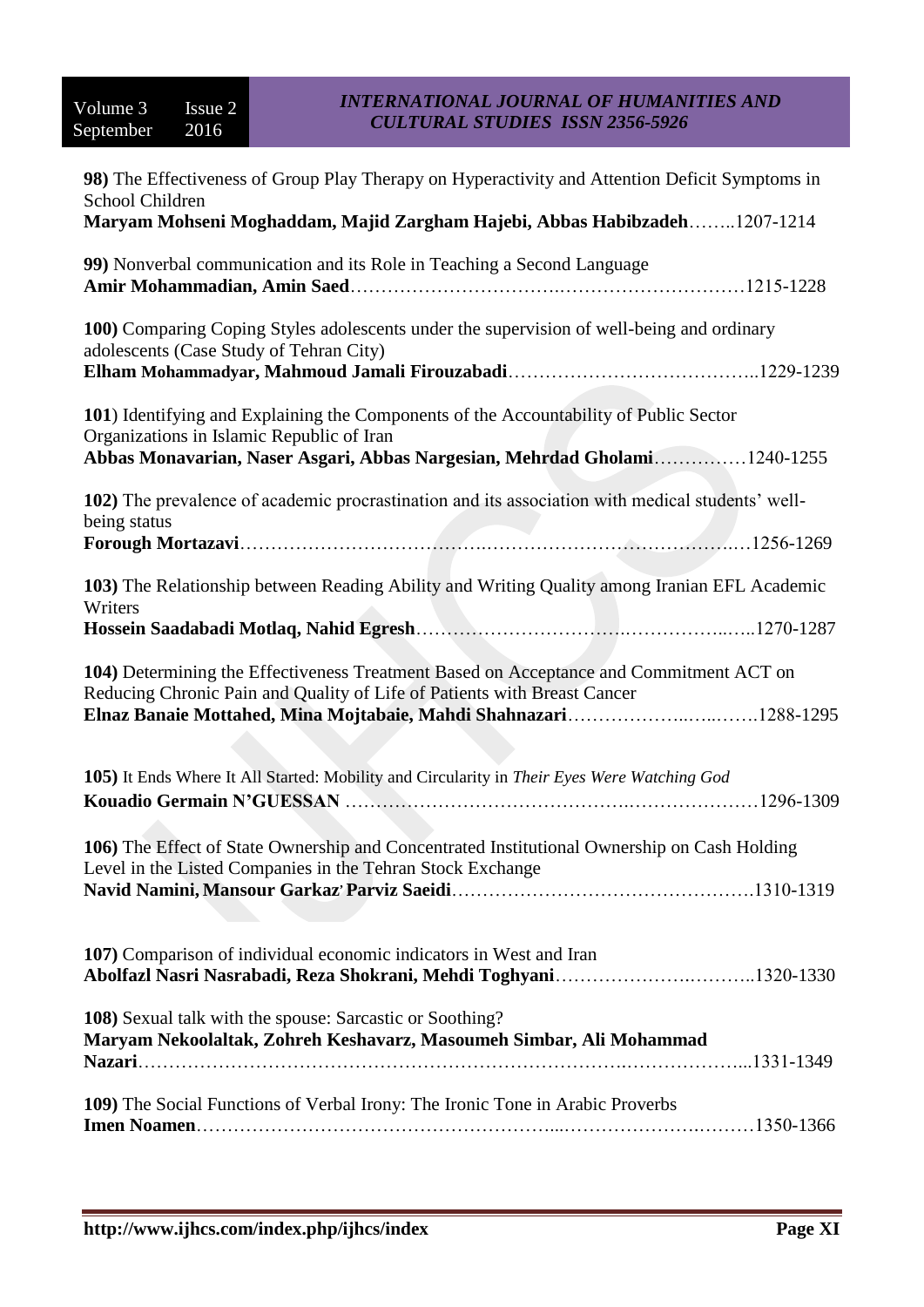| 98) The Effectiveness of Group Play Therapy on Hyperactivity and Attention Deficit Symptoms in<br>School Children                                                                                               |
|-----------------------------------------------------------------------------------------------------------------------------------------------------------------------------------------------------------------|
| Maryam Mohseni Moghaddam, Majid Zargham Hajebi, Abbas Habibzadeh1207-1214                                                                                                                                       |
| 99) Nonverbal communication and its Role in Teaching a Second Language                                                                                                                                          |
| 100) Comparing Coping Styles adolescents under the supervision of well-being and ordinary<br>adolescents (Case Study of Tehran City)                                                                            |
| 101) Identifying and Explaining the Components of the Accountability of Public Sector<br>Organizations in Islamic Republic of Iran<br>Abbas Monavarian, Naser Asgari, Abbas Nargesian, Mehrdad Gholami1240-1255 |
| 102) The prevalence of academic procrastination and its association with medical students' well-<br>being status                                                                                                |
| 103) The Relationship between Reading Ability and Writing Quality among Iranian EFL Academic<br>Writers                                                                                                         |
| 104) Determining the Effectiveness Treatment Based on Acceptance and Commitment ACT on<br>Reducing Chronic Pain and Quality of Life of Patients with Breast Cancer                                              |
| 105) It Ends Where It All Started: Mobility and Circularity in Their Eyes Were Watching God                                                                                                                     |
| 106) The Effect of State Ownership and Concentrated Institutional Ownership on Cash Holding<br>Level in the Listed Companies in the Tehran Stock Exchange                                                       |
| 107) Comparison of individual economic indicators in West and Iran                                                                                                                                              |
| 108) Sexual talk with the spouse: Sarcastic or Soothing?<br>Maryam Nekoolaltak, Zohreh Keshavarz, Masoumeh Simbar, Ali Mohammad                                                                                 |
| 109) The Social Functions of Verbal Irony: The Ironic Tone in Arabic Proverbs                                                                                                                                   |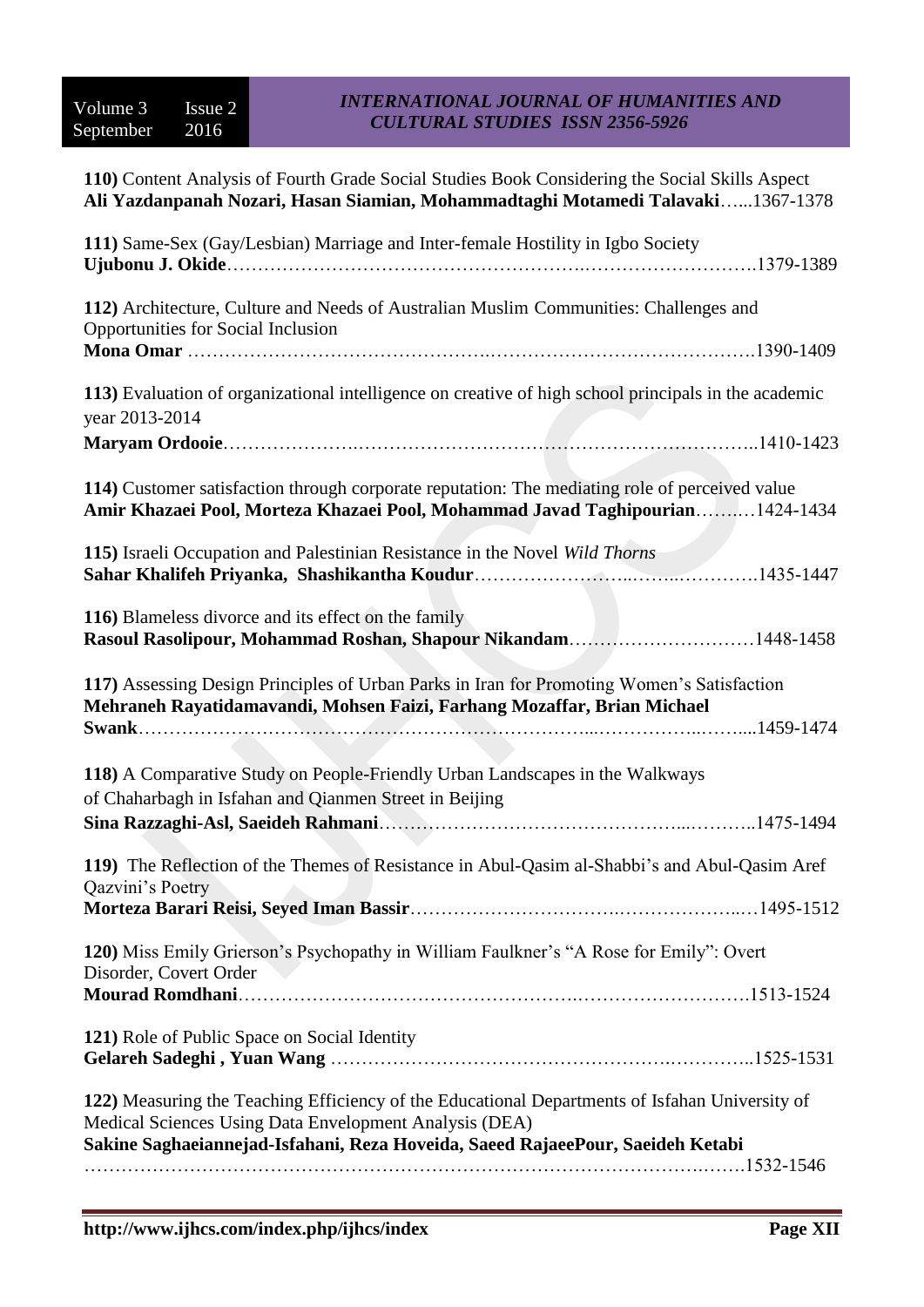| 110) Content Analysis of Fourth Grade Social Studies Book Considering the Social Skills Aspect<br>Ali Yazdanpanah Nozari, Hasan Siamian, Mohammadtaghi Motamedi Talavaki1367-1378                                                          |
|--------------------------------------------------------------------------------------------------------------------------------------------------------------------------------------------------------------------------------------------|
| 111) Same-Sex (Gay/Lesbian) Marriage and Inter-female Hostility in Igbo Society                                                                                                                                                            |
| 112) Architecture, Culture and Needs of Australian Muslim Communities: Challenges and<br>Opportunities for Social Inclusion                                                                                                                |
| 113) Evaluation of organizational intelligence on creative of high school principals in the academic<br>year 2013-2014                                                                                                                     |
| 114) Customer satisfaction through corporate reputation: The mediating role of perceived value<br>Amir Khazaei Pool, Morteza Khazaei Pool, Mohammad Javad Taghipourian1424-1434                                                            |
| 115) Israeli Occupation and Palestinian Resistance in the Novel Wild Thorns                                                                                                                                                                |
| 116) Blameless divorce and its effect on the family<br>Rasoul Rasolipour, Mohammad Roshan, Shapour Nikandam1448-1458                                                                                                                       |
| 117) Assessing Design Principles of Urban Parks in Iran for Promoting Women's Satisfaction<br>Mehraneh Rayatidamavandi, Mohsen Faizi, Farhang Mozaffar, Brian Michael                                                                      |
| 118) A Comparative Study on People-Friendly Urban Landscapes in the Walkways<br>of Chaharbagh in Isfahan and Qianmen Street in Beijing                                                                                                     |
| 119) The Reflection of the Themes of Resistance in Abul-Qasim al-Shabbi's and Abul-Qasim Aref<br>Qazvini's Poetry                                                                                                                          |
| 120) Miss Emily Grierson's Psychopathy in William Faulkner's "A Rose for Emily": Overt<br>Disorder, Covert Order                                                                                                                           |
| 121) Role of Public Space on Social Identity                                                                                                                                                                                               |
| 122) Measuring the Teaching Efficiency of the Educational Departments of Isfahan University of<br>Medical Sciences Using Data Envelopment Analysis (DEA)<br>Sakine Saghaeiannejad-Isfahani, Reza Hoveida, Saeed RajaeePour, Saeideh Ketabi |
|                                                                                                                                                                                                                                            |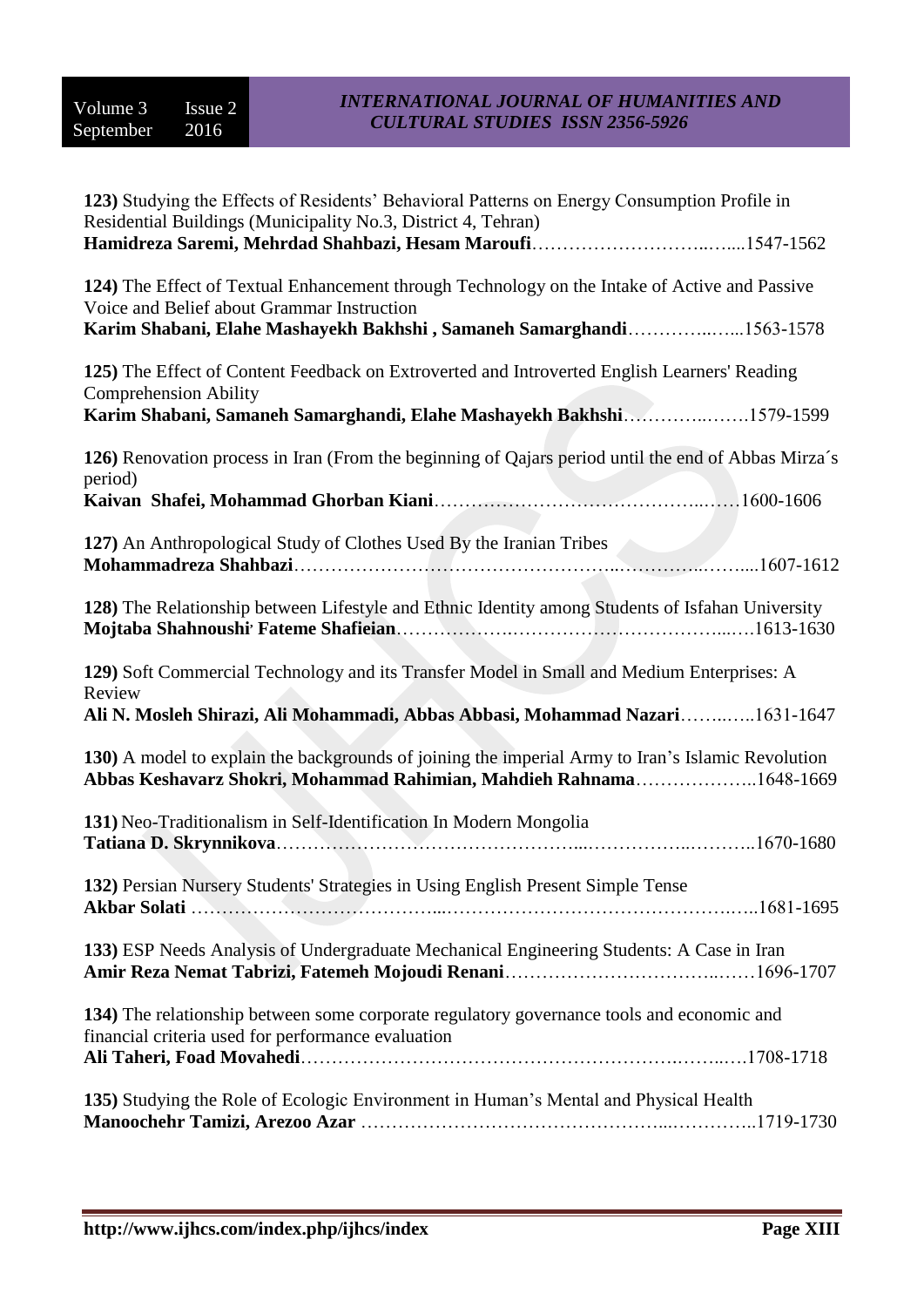| 123) Studying the Effects of Residents' Behavioral Patterns on Energy Consumption Profile in<br>Residential Buildings (Municipality No.3, District 4, Tehran)                                        |
|------------------------------------------------------------------------------------------------------------------------------------------------------------------------------------------------------|
|                                                                                                                                                                                                      |
| 124) The Effect of Textual Enhancement through Technology on the Intake of Active and Passive<br>Voice and Belief about Grammar Instruction                                                          |
| Karim Shabani, Elahe Mashayekh Bakhshi, Samaneh Samarghandi1563-1578                                                                                                                                 |
| 125) The Effect of Content Feedback on Extroverted and Introverted English Learners' Reading<br><b>Comprehension Ability</b><br>Karim Shabani, Samaneh Samarghandi, Elahe Mashayekh Bakhshi1579-1599 |
| 126) Renovation process in Iran (From the beginning of Qajars period until the end of Abbas Mirza's<br>period)                                                                                       |
|                                                                                                                                                                                                      |
| 127) An Anthropological Study of Clothes Used By the Iranian Tribes                                                                                                                                  |
| 128) The Relationship between Lifestyle and Ethnic Identity among Students of Isfahan University                                                                                                     |
| 129) Soft Commercial Technology and its Transfer Model in Small and Medium Enterprises: A<br>Review                                                                                                  |
| Ali N. Mosleh Shirazi, Ali Mohammadi, Abbas Abbasi, Mohammad Nazari1631-1647                                                                                                                         |
| 130) A model to explain the backgrounds of joining the imperial Army to Iran's Islamic Revolution<br>Abbas Keshavarz Shokri, Mohammad Rahimian, Mahdieh Rahnama1648-1669                             |
| 131) Neo-Traditionalism in Self-Identification In Modern Mongolia                                                                                                                                    |
| 132) Persian Nursery Students' Strategies in Using English Present Simple Tense                                                                                                                      |
| 133) ESP Needs Analysis of Undergraduate Mechanical Engineering Students: A Case in Iran                                                                                                             |
| 134) The relationship between some corporate regulatory governance tools and economic and<br>financial criteria used for performance evaluation                                                      |
|                                                                                                                                                                                                      |
| 135) Studying the Role of Ecologic Environment in Human's Mental and Physical Health                                                                                                                 |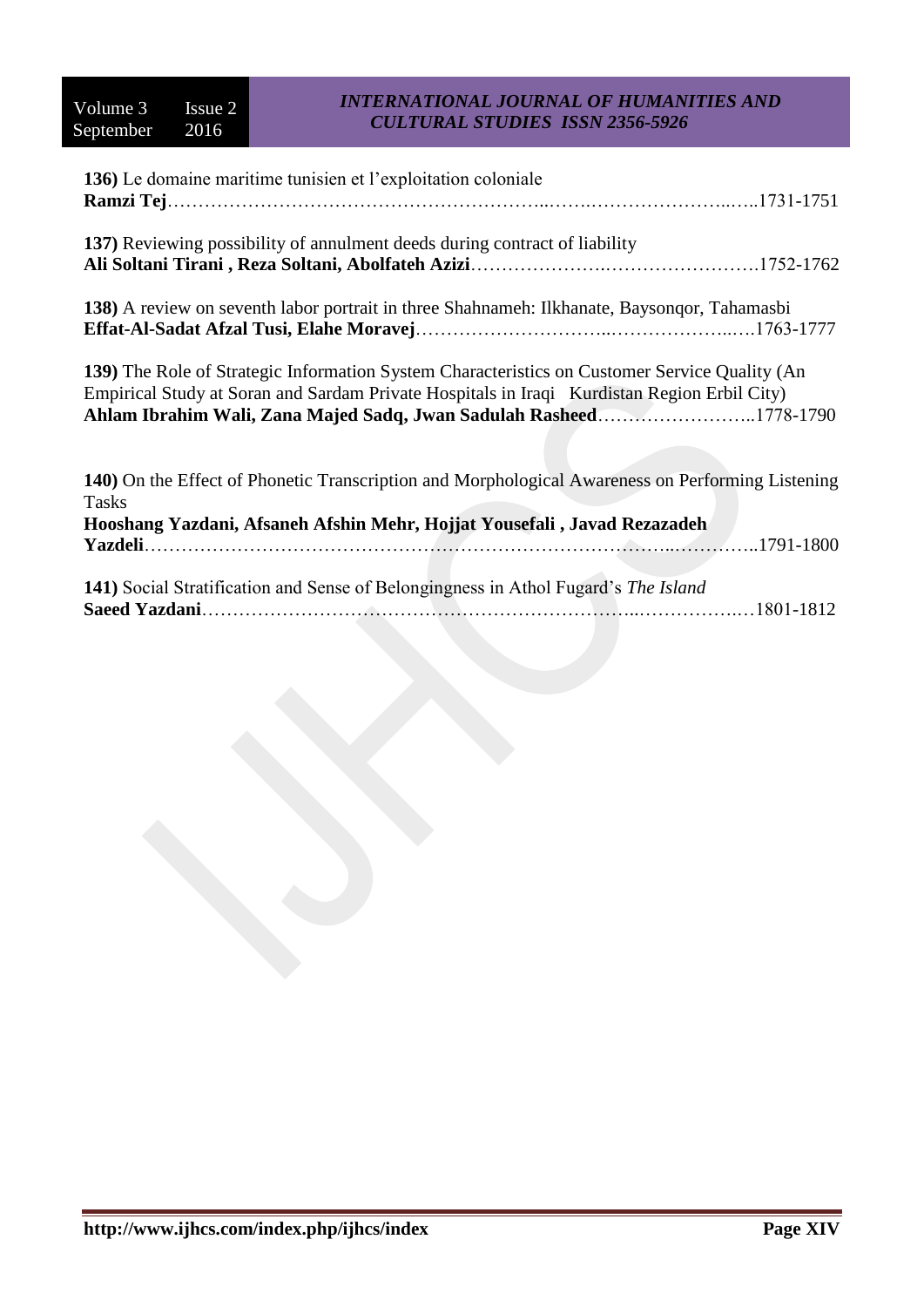| 136) Le domaine maritime tunisien et l'exploitation coloniale                                                                                                                                                                                                      |
|--------------------------------------------------------------------------------------------------------------------------------------------------------------------------------------------------------------------------------------------------------------------|
| 137) Reviewing possibility of annulment deeds during contract of liability                                                                                                                                                                                         |
| 138) A review on seventh labor portrait in three Shahnameh: Ilkhanate, Baysonqor, Tahamasbi                                                                                                                                                                        |
| 139) The Role of Strategic Information System Characteristics on Customer Service Quality (An<br>Empirical Study at Soran and Sardam Private Hospitals in Iraqi Kurdistan Region Erbil City)<br>Ahlam Ibrahim Wali, Zana Majed Sadq, Jwan Sadulah Rasheed1778-1790 |
| 140) On the Effect of Phonetic Transcription and Morphological Awareness on Performing Listening<br><b>Tasks</b>                                                                                                                                                   |
| Hooshang Yazdani, Afsaneh Afshin Mehr, Hojjat Yousefali, Javad Rezazadeh                                                                                                                                                                                           |
| 141) Social Stratification and Sense of Belongingness in Athol Fugard's The Island                                                                                                                                                                                 |